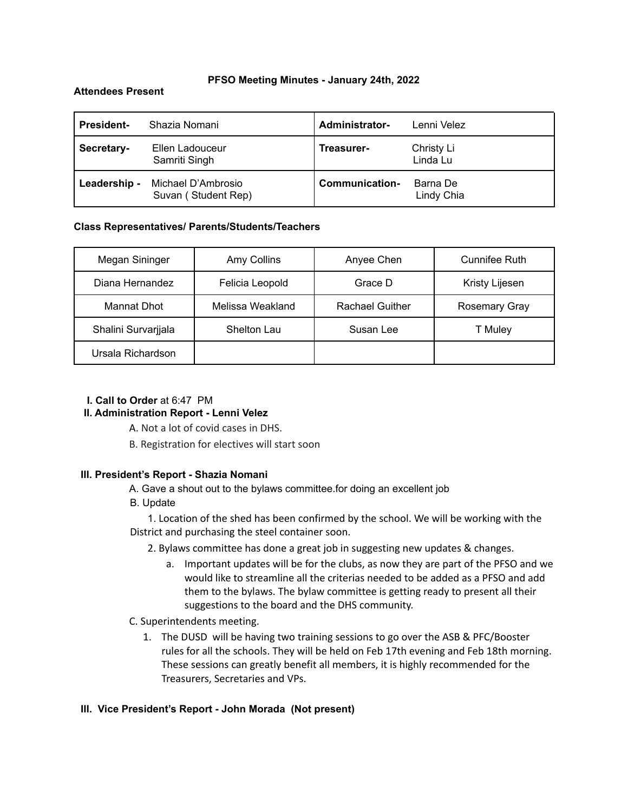#### **PFSO Meeting Minutes - January 24th, 2022**

#### **Attendees Present**

| <b>President-</b> | Shazia Nomani                             | <b>Administrator-</b> | Lenni Velez            |
|-------------------|-------------------------------------------|-----------------------|------------------------|
| Secretary-        | Ellen Ladouceur<br>Samriti Singh          | Treasurer-            | Christy Li<br>Linda Lu |
| Leadership -      | Michael D'Ambrosio<br>Suvan (Student Rep) | Communication-        | Barna De<br>Lindy Chia |

### **Class Representatives/ Parents/Students/Teachers**

| Megan Sininger      | Amy Collins      | Anyee Chen             | Cunnifee Ruth        |
|---------------------|------------------|------------------------|----------------------|
| Diana Hernandez     | Felicia Leopold  | Grace D                | Kristy Lijesen       |
| Mannat Dhot         | Melissa Weakland | <b>Rachael Guither</b> | <b>Rosemary Gray</b> |
| Shalini Survarjjala | Shelton Lau      | Susan Lee              | T Muley              |
| Ursala Richardson   |                  |                        |                      |

## **I. Call to Order** at 6:47 PM

## **II. Administration Report - Lenni Velez**

A. Not a lot of covid cases in DHS.

B. Registration for electives will start soon

## **III. President's Report - Shazia Nomani**

A. Gave a shout out to the bylaws committee.for doing an excellent job

B. Update

1. Location of the shed has been confirmed by the school. We will be working with the District and purchasing the steel container soon.

- 2. Bylaws committee has done a great job in suggesting new updates & changes.
	- a. Important updates will be for the clubs, as now they are part of the PFSO and we would like to streamline all the criterias needed to be added as a PFSO and add them to the bylaws. The bylaw committee is getting ready to present all their suggestions to the board and the DHS community.
- C. Superintendents meeting.
	- 1. The DUSD will be having two training sessions to go over the ASB & PFC/Booster rules for all the schools. They will be held on Feb 17th evening and Feb 18th morning. These sessions can greatly benefit all members, it is highly recommended for the Treasurers, Secretaries and VPs.

#### **III. Vice President's Report - John Morada (Not present)**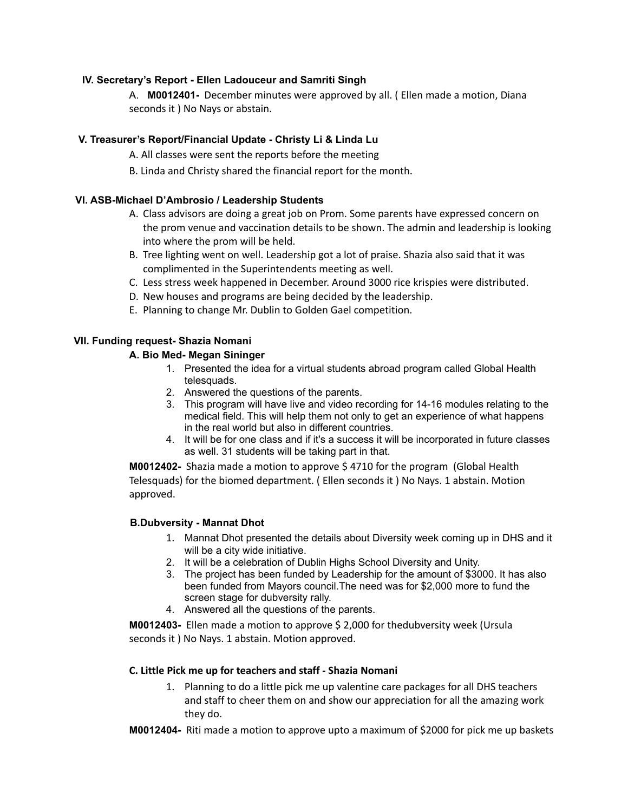## **IV. Secretary's Report - Ellen Ladouceur and Samriti Singh**

A. **M0012401-** December minutes were approved by all. ( Ellen made a motion, Diana seconds it ) No Nays or abstain.

# **V. Treasurer's Report/Financial Update - Christy Li & Linda Lu**

A. All classes were sent the reports before the meeting

B. Linda and Christy shared the financial report for the month.

## **VI. ASB-Michael D'Ambrosio / Leadership Students**

- A. Class advisors are doing a great job on Prom. Some parents have expressed concern on the prom venue and vaccination details to be shown. The admin and leadership is looking into where the prom will be held.
- B. Tree lighting went on well. Leadership got a lot of praise. Shazia also said that it was complimented in the Superintendents meeting as well.
- C. Less stress week happened in December. Around 3000 rice krispies were distributed.
- D. New houses and programs are being decided by the leadership.
- E. Planning to change Mr. Dublin to Golden Gael competition.

# **VII. Funding request- Shazia Nomani**

## **A. Bio Med- Megan Sininger**

- 1. Presented the idea for a virtual students abroad program called Global Health telesquads.
- 2. Answered the questions of the parents.
- 3. This program will have live and video recording for 14-16 modules relating to the medical field. This will help them not only to get an experience of what happens in the real world but also in different countries.
- 4. It will be for one class and if it's a success it will be incorporated in future classes as well. 31 students will be taking part in that.

**M0012402-** Shazia made a motion to approve \$ 4710 for the program (Global Health Telesquads) for the biomed department. ( Ellen seconds it ) No Nays. 1 abstain. Motion approved.

## **B.Dubversity - Mannat Dhot**

- 1. Mannat Dhot presented the details about Diversity week coming up in DHS and it will be a city wide initiative.
- 2. It will be a celebration of Dublin Highs School Diversity and Unity.
- 3. The project has been funded by Leadership for the amount of \$3000. It has also been funded from Mayors council.The need was for \$2,000 more to fund the screen stage for dubversity rally.
- 4. Answered all the questions of the parents.

**M0012403-** Ellen made a motion to approve \$ 2,000 for thedubversity week (Ursula seconds it ) No Nays. 1 abstain. Motion approved.

## **C. Little Pick me up for teachers and staff - Shazia Nomani**

- 1. Planning to do a little pick me up valentine care packages for all DHS teachers and staff to cheer them on and show our appreciation for all the amazing work they do.
- **M0012404-** Riti made a motion to approve upto a maximum of \$2000 for pick me up baskets